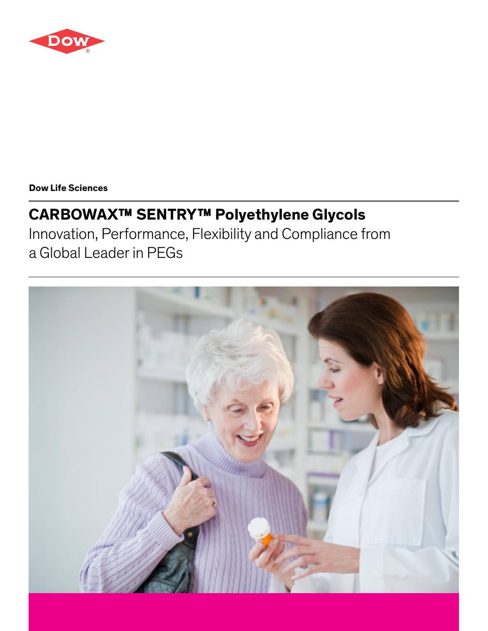

**Dow Life Sciences**

# **CARBOWAX™ SENTRY™ Polyethylene Glycols**

Innovation, Performance, Flexibility and Compliance from a Global Leader in PEGs

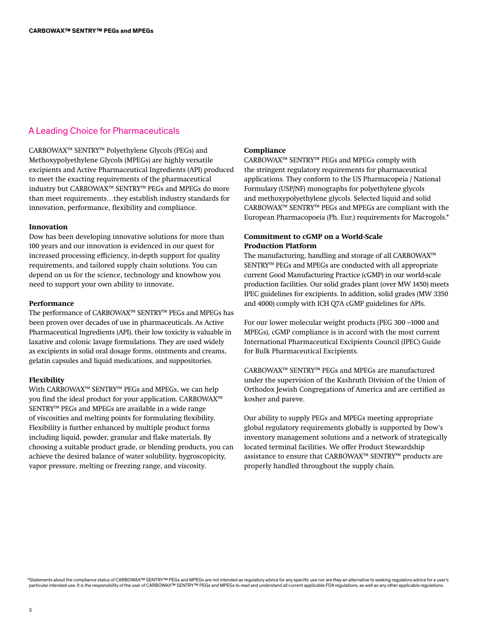## A Leading Choice for Pharmaceuticals

CARBOWAX™ SENTRY™ Polyethylene Glycols (PEGs) and Methoxypolyethylene Glycols (MPEGs) are highly versatile excipients and Active Pharmaceutical Ingredients (API) produced to meet the exacting requirements of the pharmaceutical industry but CARBOWAX™ SENTRY™ PEGs and MPEGs do more than meet requirements…they establish industry standards for innovation, performance, flexibility and compliance.

#### **Innovation**

Dow has been developing innovative solutions for more than 100 years and our innovation is evidenced in our quest for increased processing efficiency, in-depth support for quality requirements, and tailored supply chain solutions. You can depend on us for the science, technology and knowhow you need to support your own ability to innovate.

#### **Performance**

The performance of CARBOWAX™ SENTRY™ PEGs and MPEGs has been proven over decades of use in pharmaceuticals. As Active Pharmaceutical Ingredients (API), their low toxicity is valuable in laxative and colonic lavage formulations. They are used widely as excipients in solid oral dosage forms, ointments and creams, gelatin capsules and liquid medications, and suppositories.

#### **Flexibility**

With CARBOWAX™ SENTRY™ PEGs and MPEGs, we can help you find the ideal product for your application. CARBOWAX™ SENTRY™ PEGs and MPEGs are available in a wide range of viscosities and melting points for formulating flexibility. Flexibility is further enhanced by multiple product forms including liquid, powder, granular and flake materials. By choosing a suitable product grade, or blending products, you can achieve the desired balance of water solubility, hygroscopicity, vapor pressure, melting or freezing range, and viscosity.

#### **Compliance**

CARBOWAX™ SENTRY™ PEGs and MPEGs comply with the stringent regulatory requirements for pharmaceutical applications. They conform to the US Pharmacopeia / National Formulary (USP/NF) monographs for polyethylene glycols and methoxypolyethylene glycols. Selected liquid and solid CARBOWAX™ SENTRY™ PEGs and MPEGs are compliant with the European Pharmacopoeia (Ph. Eur.) requirements for Macrogols.\*

### **Commitment to cGMP on a World-Scale Production Platform**

The manufacturing, handling and storage of all CARBOWAX™ SENTRY™ PEGs and MPEGs are conducted with all appropriate current Good Manufacturing Practice (cGMP) in our world-scale production facilities. Our solid grades plant (over MW 1450) meets IPEC guidelines for excipients. In addition, solid grades (MW 3350 and 4000) comply with ICH Q7A cGMP guidelines for APIs.

For our lower molecular weight products (PEG 300 –1000 and MPEGs), cGMP compliance is in accord with the most current International Pharmaceutical Excipients Council (IPEC) Guide for Bulk Pharmaceutical Excipients.

CARBOWAX™ SENTRY™ PEGs and MPEGs are manufactured under the supervision of the Kashruth Division of the Union of Orthodox Jewish Congregations of America and are certified as kosher and pareve.

Our ability to supply PEGs and MPEGs meeting appropriate global regulatory requirements globally is supported by Dow's inventory management solutions and a network of strategically located terminal facilities. We offer Product Stewardship assistance to ensure that CARBOWAX™ SENTRY™ products are properly handled throughout the supply chain.

\*Statements about the compliance status of CARBOWAX™ SENTRY™ PEGs and MPEGs are not intended as regulatory advice for any specific use nor are they an alternative to seeking regulatory advice for a user's particular intended use. It is the responsibility of the user of CARBOWAX™ SENTRY™ PEGs and MPEGs to read and understand all current applicable FDA regulations, as well as any other applicable regulations.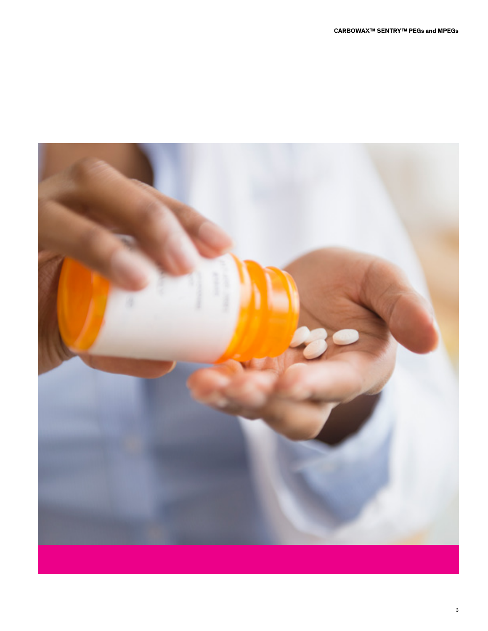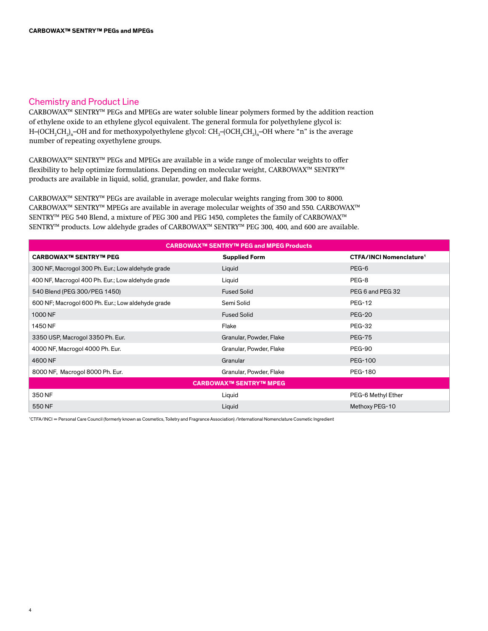## Chemistry and Product Line

CARBOWAX™ SENTRY™ PEGs and MPEGs are water soluble linear polymers formed by the addition reaction of ethylene oxide to an ethylene glycol equivalent. The general formula for polyethylene glycol is: H–(OCH<sub>2</sub>CH<sub>2</sub>)<sub>n</sub>–OH and for methoxypolyethylene glycol: CH<sub>3</sub>–(OCH<sub>2</sub>CH<sub>2</sub>)<sub>n</sub>–OH where "n" is the average number of repeating oxyethylene groups.

CARBOWAX™ SENTRY™ PEGs and MPEGs are available in a wide range of molecular weights to offer flexibility to help optimize formulations. Depending on molecular weight, CARBOWAX™ SENTRY™ products are available in liquid, solid, granular, powder, and flake forms.

CARBOWAX™ SENTRY™ PEGs are available in average molecular weights ranging from 300 to 8000. CARBOWAX™ SENTRY™ MPEGs are available in average molecular weights of 350 and 550. CARBOWAX™ SENTRY™ PEG 540 Blend, a mixture of PEG 300 and PEG 1450, completes the family of CARBOWAX™ SENTRY™ products. Low aldehyde grades of CARBOWAX™ SENTRY™ PEG 300, 400, and 600 are available.

| CARBOWAX™ SENTRY™ PEG and MPEG Products                                                           |                         |                    |  |  |  |  |  |
|---------------------------------------------------------------------------------------------------|-------------------------|--------------------|--|--|--|--|--|
| <b>Supplied Form</b><br><b>CTFA/INCI Nomenclature<sup>1</sup></b><br><b>CARBOWAX™ SENTRY™ PEG</b> |                         |                    |  |  |  |  |  |
| 300 NF, Macrogol 300 Ph. Eur.; Low aldehyde grade                                                 | Liquid                  | PEG-6              |  |  |  |  |  |
| 400 NF, Macrogol 400 Ph. Eur.; Low aldehyde grade                                                 | Liquid                  | PEG-8              |  |  |  |  |  |
| 540 Blend (PEG 300/PEG 1450)                                                                      | <b>Fused Solid</b>      | PEG 6 and PEG 32   |  |  |  |  |  |
| 600 NF; Macrogol 600 Ph. Eur.; Low aldehyde grade                                                 | Semi Solid              | <b>PEG-12</b>      |  |  |  |  |  |
| 1000 NF                                                                                           | <b>Fused Solid</b>      | <b>PEG-20</b>      |  |  |  |  |  |
| 1450 NF                                                                                           | Flake                   | <b>PEG-32</b>      |  |  |  |  |  |
| 3350 USP, Macrogol 3350 Ph. Eur.                                                                  | Granular, Powder, Flake | <b>PEG-75</b>      |  |  |  |  |  |
| 4000 NF, Macrogol 4000 Ph. Eur.                                                                   | Granular, Powder, Flake | <b>PEG-90</b>      |  |  |  |  |  |
| 4600 NF                                                                                           | Granular                | <b>PEG-100</b>     |  |  |  |  |  |
| 8000 NF, Macrogol 8000 Ph. Eur.                                                                   | Granular, Powder, Flake | <b>PEG-180</b>     |  |  |  |  |  |
| <b>CARBOWAX™ SENTRY™ MPEG</b>                                                                     |                         |                    |  |  |  |  |  |
| 350 NF                                                                                            | Liquid                  | PEG-6 Methyl Ether |  |  |  |  |  |
| 550 NF                                                                                            | Liquid                  | Methoxy PEG-10     |  |  |  |  |  |

1CTFA/INCI = Personal Care Council (formerly known as Cosmetics, Toiletry and Fragrance Association) /International Nomenclature Cosmetic Ingredient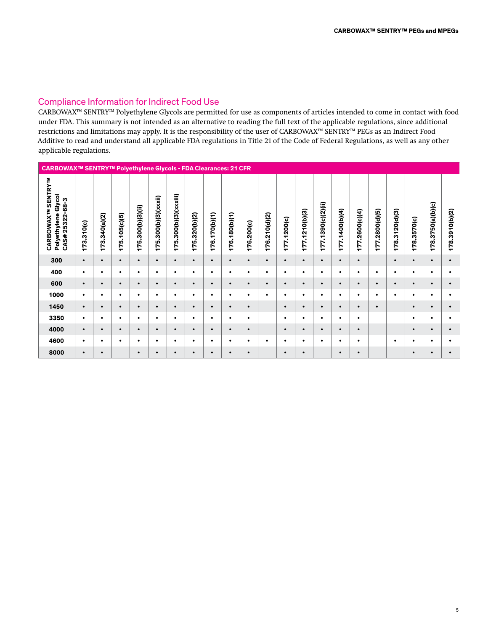## Compliance Information for Indirect Food Use

CARBOWAX™ SENTRY™ Polyethylene Glycols are permitted for use as components of articles intended to come in contact with food under FDA. This summary is not intended as an alternative to reading the full text of the applicable regulations, since additional restrictions and limitations may apply. It is the responsibility of the user of CARBOWAX™ SENTRY™ PEGs as an Indirect Food Additive to read and understand all applicable FDA regulations in Title 21 of the Code of Federal Regulations, as well as any other applicable regulations.

| CARBOWAX™ SENTRY™ Polyethylene Glycols - FDA Clearances: 21 CFR                     |            |                   |               |                       |                      |                       |               |                   |               |                        |               |             |                |                    |                |                        |                |                    |             |                   |                |
|-------------------------------------------------------------------------------------|------------|-------------------|---------------|-----------------------|----------------------|-----------------------|---------------|-------------------|---------------|------------------------|---------------|-------------|----------------|--------------------|----------------|------------------------|----------------|--------------------|-------------|-------------------|----------------|
| <b>SENTRYTM</b><br>Polyethylene Glycol<br>$-68-3$<br><b>CARBOWAXTM</b><br>CAS#25322 | 173.310(c) | 73.340(a)(2)<br>÷ | 175.105(c)(5) | 75.300(b)(3)(ii)<br>÷ | 175.300(b)(3)(xxxii) | 175.300(b)(3)(xxxiii) | 175.320(b)(2) | 76.170(b)(1)<br>÷ | 176.180(b)(1) | 176.200 <sub>(c)</sub> | 176.210(d)(2) | 177.1200(c) | 177.1210(b)(3) | 177.1390(c)(2)(ii) | 177.1400(b)(4) | 7.2600(c)(4)<br>N<br>÷ | 177.2800(d)(5) | 78.3120(d)(3)<br>÷ | 178.3570(c) | 178.3750(a)(b)(c) | 178.3910(b)(2) |
| 300                                                                                 | $\bullet$  | $\bullet$         | $\bullet$     | $\bullet$             | $\bullet$            | $\bullet$             | $\bullet$     | $\bullet$         | $\bullet$     | $\bullet$              | $\bullet$     | $\bullet$   | $\bullet$      | $\bullet$          | $\bullet$      | $\bullet$              |                | $\bullet$          | $\bullet$   | $\bullet$         | $\bullet$      |
| 400                                                                                 | ٠          | ٠                 | ٠             | ٠                     | ٠                    | ٠                     | ٠             | ٠                 | ٠             | $\bullet$              | ٠             | ٠           | $\bullet$      | ٠                  | ٠              | ٠                      | $\bullet$      | ٠                  | ٠           | ٠                 | ٠              |
| 600                                                                                 | $\bullet$  | $\bullet$         | $\bullet$     | $\bullet$             | $\bullet$            | $\bullet$             | $\bullet$     | $\bullet$         | $\bullet$     | $\bullet$              | $\bullet$     | $\bullet$   | $\bullet$      | $\bullet$          | $\bullet$      | $\bullet$              | $\bullet$      | $\bullet$          | $\bullet$   | $\bullet$         | $\bullet$      |
| 1000                                                                                | ٠          | ٠                 | $\bullet$     | ٠                     | ٠                    | ٠                     | ٠             | $\bullet$         | ٠             | ٠                      | ٠             | ٠           | $\bullet$      | ٠                  | ٠              |                        | $\bullet$      | ٠                  | ٠           | ٠                 |                |
| 1450                                                                                | $\bullet$  | $\bullet$         | $\bullet$     | $\bullet$             | $\bullet$            | $\bullet$             | $\bullet$     | $\bullet$         | $\bullet$     | $\bullet$              |               | $\bullet$   | $\bullet$      | $\bullet$          | $\bullet$      | $\bullet$              | $\bullet$      |                    | $\bullet$   | $\bullet$         |                |
| 3350                                                                                | ٠          | $\bullet$         | ٠             | $\bullet$             | ٠                    | ٠                     | ٠             | $\bullet$         | ٠             | $\bullet$              |               | ٠           | ٠              | ٠                  | ٠              | ٠                      |                |                    | ٠           | ٠                 |                |
| 4000                                                                                | $\bullet$  | $\bullet$         | $\bullet$     | $\bullet$             | $\bullet$            | $\bullet$             | $\bullet$     | $\bullet$         | $\bullet$     | $\bullet$              |               | $\bullet$   | $\bullet$      | $\bullet$          | $\bullet$      | $\bullet$              |                |                    | $\bullet$   | $\bullet$         | $\bullet$      |
| 4600                                                                                | ٠          | ٠                 | ٠             | ٠                     | ٠                    | ٠                     | ٠             | ٠                 | ٠             | ٠                      | ٠             | ٠           | ٠              | ٠                  | ٠              | ٠                      |                | ٠                  | ٠           | ٠                 | ٠              |
| 8000                                                                                | $\bullet$  | $\bullet$         |               | $\bullet$             | $\bullet$            | $\bullet$             | $\bullet$     | $\bullet$         | $\bullet$     | $\bullet$              |               | $\bullet$   | $\bullet$      |                    | $\bullet$      | $\bullet$              |                |                    | $\bullet$   | $\bullet$         | $\bullet$      |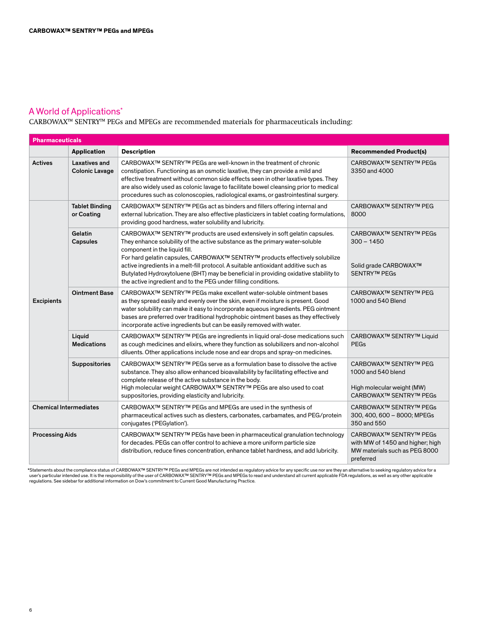## A World of Applications\*

CARBOWAX™ SENTRY™ PEGs and MPEGs are recommended materials for pharmaceuticals including:

| <b>Pharmaceuticals</b>        |                                        |                                                                                                                                                                                                                                                                                                                                                                                                                                                                                                                             |                                                                                                          |  |  |
|-------------------------------|----------------------------------------|-----------------------------------------------------------------------------------------------------------------------------------------------------------------------------------------------------------------------------------------------------------------------------------------------------------------------------------------------------------------------------------------------------------------------------------------------------------------------------------------------------------------------------|----------------------------------------------------------------------------------------------------------|--|--|
|                               | <b>Application</b>                     | <b>Description</b>                                                                                                                                                                                                                                                                                                                                                                                                                                                                                                          | <b>Recommended Product(s)</b>                                                                            |  |  |
| <b>Actives</b>                | Laxatives and<br><b>Colonic Lavage</b> | CARBOWAX™ SENTRY™ PEGs are well-known in the treatment of chronic<br>constipation. Functioning as an osmotic laxative, they can provide a mild and<br>effective treatment without common side effects seen in other laxative types. They<br>are also widely used as colonic lavage to facilitate bowel cleansing prior to medical<br>procedures such as colonoscopies, radiological exams, or gastrointestinal surgery.                                                                                                     | CARBOWAX™ SENTRY™ PEGs<br>3350 and 4000                                                                  |  |  |
|                               | <b>Tablet Binding</b><br>or Coating    | CARBOWAX™ SENTRY™ PEG<br>8000                                                                                                                                                                                                                                                                                                                                                                                                                                                                                               |                                                                                                          |  |  |
| <b>Excipients</b>             | Gelatin<br><b>Capsules</b>             | CARBOWAX™ SENTRY™ products are used extensively in soft gelatin capsules.<br>They enhance solubility of the active substance as the primary water-soluble<br>component in the liquid fill.<br>For hard gelatin capsules, CARBOWAX™ SENTRY™ products effectively solubilize<br>active ingredients in a melt-fill protocol. A suitable antioxidant additive such as<br>Butylated Hydroxytoluene (BHT) may be beneficial in providing oxidative stability to<br>the active ingredient and to the PEG under filling conditions. | CARBOWAX™ SENTRY™ PEGs<br>$300 - 1450$<br>Solid grade CARBOWAX™<br><b>SENTRY™ PEGs</b>                   |  |  |
|                               | <b>Ointment Base</b>                   | CARBOWAX™ SENTRY™ PEGs make excellent water-soluble ointment bases<br>as they spread easily and evenly over the skin, even if moisture is present. Good<br>water solubility can make it easy to incorporate aqueous ingredients. PEG ointment<br>bases are preferred over traditional hydrophobic ointment bases as they effectively<br>incorporate active ingredients but can be easily removed with water.                                                                                                                | CARBOWAX™ SENTRY™ PEG<br>1000 and 540 Blend                                                              |  |  |
|                               | Liquid<br><b>Medications</b>           | CARBOWAX™ SENTRY™ PEGs are ingredients in liquid oral-dose medications such<br>as cough medicines and elixirs, where they function as solubilizers and non-alcohol<br>diluents. Other applications include nose and ear drops and spray-on medicines.                                                                                                                                                                                                                                                                       | CARBOWAX™ SENTRY™ Liquid<br><b>PEGs</b>                                                                  |  |  |
|                               | Suppositories                          | CARBOWAX™ SENTRY™ PEGs serve as a formulation base to dissolve the active<br>substance. They also allow enhanced bioavailability by facilitating effective and<br>complete release of the active substance in the body.<br>High molecular weight CARBOWAX™ SENTRY™ PEGs are also used to coat<br>suppositories, providing elasticity and lubricity.                                                                                                                                                                         | CARBOWAX™ SENTRY™ PEG<br>1000 and 540 blend<br>High molecular weight (MW)<br>CARBOWAX™ SENTRY™ PEGs      |  |  |
| <b>Chemical Intermediates</b> |                                        | CARBOWAX™ SENTRY™ PEGs and MPEGs are used in the synthesis of<br>pharmaceutical actives such as diesters, carbonates, carbamates, and PEG/protein<br>conjugates ('PEGylation').                                                                                                                                                                                                                                                                                                                                             | CARBOWAX™ SENTRY™ PEGs<br>300, 400, 600 - 8000; MPEGs<br>350 and 550                                     |  |  |
| <b>Processing Aids</b>        |                                        | CARBOWAX™ SENTRY™ PEGs have been in pharmaceutical granulation technology<br>for decades. PEGs can offer control to achieve a more uniform particle size<br>distribution, reduce fines concentration, enhance tablet hardness, and add lubricity.                                                                                                                                                                                                                                                                           | CARBOWAX™ SENTRY™ PEGs<br>with MW of 1450 and higher; high<br>MW materials such as PEG 8000<br>preferred |  |  |

\*Statements about the compliance status of CARBOWAX™ SENTRY™ PEGs and MPEGs are not intended as regulatory advice for any specific use nor are they an alternative to seeking regulatory advice for a<br>user's particular inten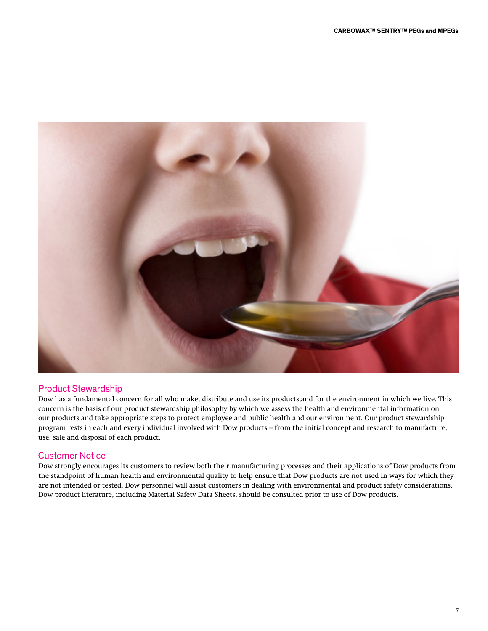

## Product Stewardship

Dow has a fundamental concern for all who make, distribute and use its products,and for the environment in which we live. This concern is the basis of our product stewardship philosophy by which we assess the health and environmental information on our products and take appropriate steps to protect employee and public health and our environment. Our product stewardship program rests in each and every individual involved with Dow products – from the initial concept and research to manufacture, use, sale and disposal of each product.

## Customer Notice

Dow strongly encourages its customers to review both their manufacturing processes and their applications of Dow products from the standpoint of human health and environmental quality to help ensure that Dow products are not used in ways for which they are not intended or tested. Dow personnel will assist customers in dealing with environmental and product safety considerations. Dow product literature, including Material Safety Data Sheets, should be consulted prior to use of Dow products.